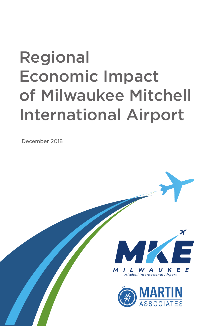# Regional Economic Impact of Milwaukee Mitchell International Airport

December 2018



U K E L W A Mitchell International Airport

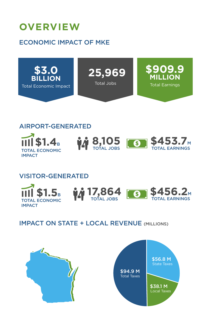### **OVERVIEW**

### ECONOMIC IMPACT OF MKE



### AIRPORT-GENERATED







### VISITOR-GENERATED







### IMPACT ON STATE + LOCAL REVENUE (MILLIONS)

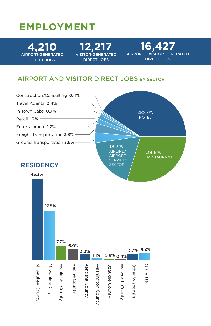### **EMPLOYMENT**

**4,210** DIRECT JOBS

**12,217** DIRECT JOBS

**16,427 ISITOR-GENERATED** DIRECT JOBS

#### AIRPORT AND VISITOR DIRECT JOBS BY SECTOR

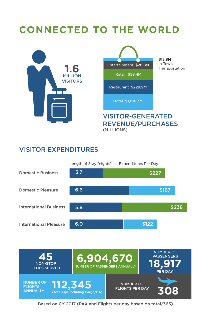## **CONNECTED TO THE WORLD**



#### VISITOR EXPENDITURES





Based on CY 2017 (PAX and Flights per day based on total/365)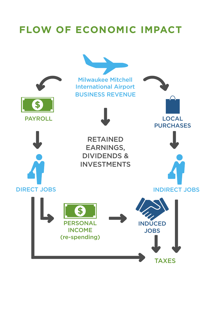### **FLOW OF ECONOMIC IMPACT**